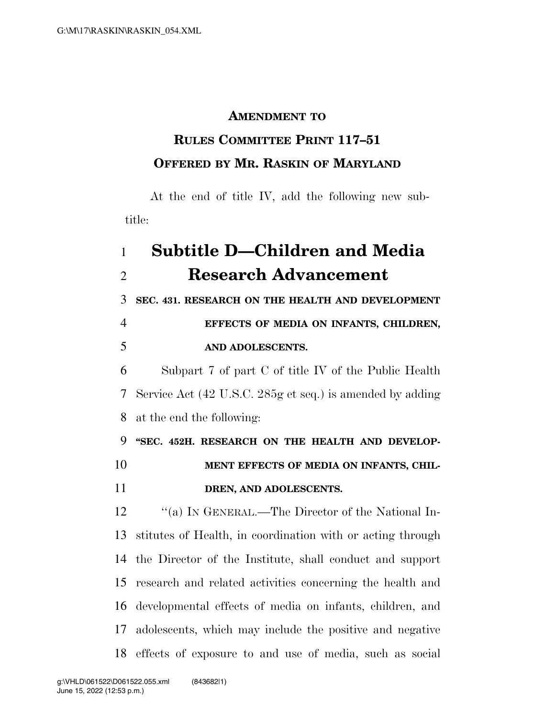#### **AMENDMENT TO**

## **RULES COMMITTEE PRINT 117–51 OFFERED BY MR. RASKIN OF MARYLAND**

At the end of title IV, add the following new subtitle:

# **Subtitle D—Children and Media Research Advancement**

 **SEC. 431. RESEARCH ON THE HEALTH AND DEVELOPMENT EFFECTS OF MEDIA ON INFANTS, CHILDREN,** 

### **AND ADOLESCENTS.**

 Subpart 7 of part C of title IV of the Public Health Service Act (42 U.S.C. 285g et seq.) is amended by adding at the end the following:

 **''SEC. 452H. RESEARCH ON THE HEALTH AND DEVELOP- MENT EFFECTS OF MEDIA ON INFANTS, CHIL-DREN, AND ADOLESCENTS.** 

12 "(a) In GENERAL.—The Director of the National In- stitutes of Health, in coordination with or acting through the Director of the Institute, shall conduct and support research and related activities concerning the health and developmental effects of media on infants, children, and adolescents, which may include the positive and negative effects of exposure to and use of media, such as social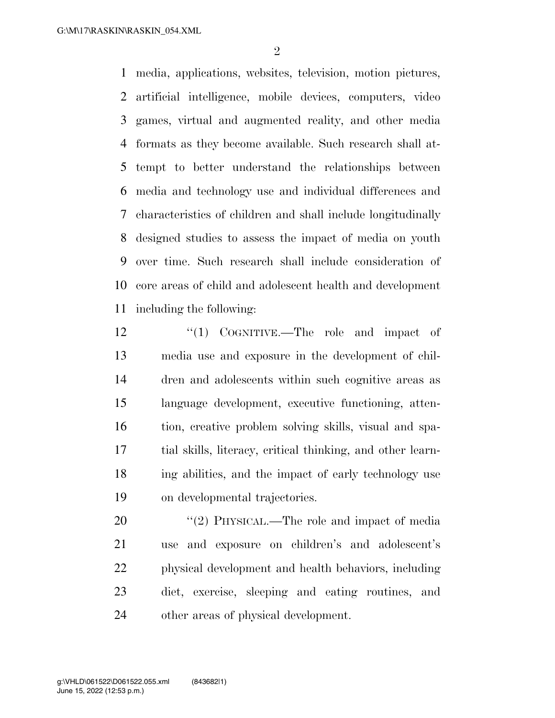media, applications, websites, television, motion pictures, artificial intelligence, mobile devices, computers, video games, virtual and augmented reality, and other media formats as they become available. Such research shall at- tempt to better understand the relationships between media and technology use and individual differences and characteristics of children and shall include longitudinally designed studies to assess the impact of media on youth over time. Such research shall include consideration of core areas of child and adolescent health and development including the following:

12 ''(1) COGNITIVE.—The role and impact of media use and exposure in the development of chil- dren and adolescents within such cognitive areas as language development, executive functioning, atten- tion, creative problem solving skills, visual and spa- tial skills, literacy, critical thinking, and other learn- ing abilities, and the impact of early technology use on developmental trajectories.

20 "(2) PHYSICAL.—The role and impact of media use and exposure on children's and adolescent's physical development and health behaviors, including diet, exercise, sleeping and eating routines, and other areas of physical development.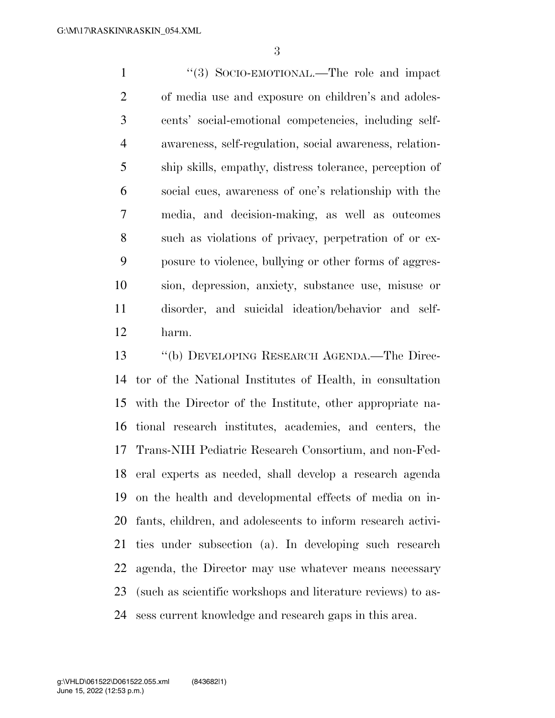1 ''(3) SOCIO-EMOTIONAL.—The role and impact of media use and exposure on children's and adoles- cents' social-emotional competencies, including self- awareness, self-regulation, social awareness, relation- ship skills, empathy, distress tolerance, perception of social cues, awareness of one's relationship with the media, and decision-making, as well as outcomes such as violations of privacy, perpetration of or ex- posure to violence, bullying or other forms of aggres- sion, depression, anxiety, substance use, misuse or disorder, and suicidal ideation/behavior and self-harm.

 ''(b) DEVELOPING RESEARCH AGENDA.—The Direc- tor of the National Institutes of Health, in consultation with the Director of the Institute, other appropriate na- tional research institutes, academies, and centers, the Trans-NIH Pediatric Research Consortium, and non-Fed- eral experts as needed, shall develop a research agenda on the health and developmental effects of media on in- fants, children, and adolescents to inform research activi- ties under subsection (a). In developing such research agenda, the Director may use whatever means necessary (such as scientific workshops and literature reviews) to as-sess current knowledge and research gaps in this area.